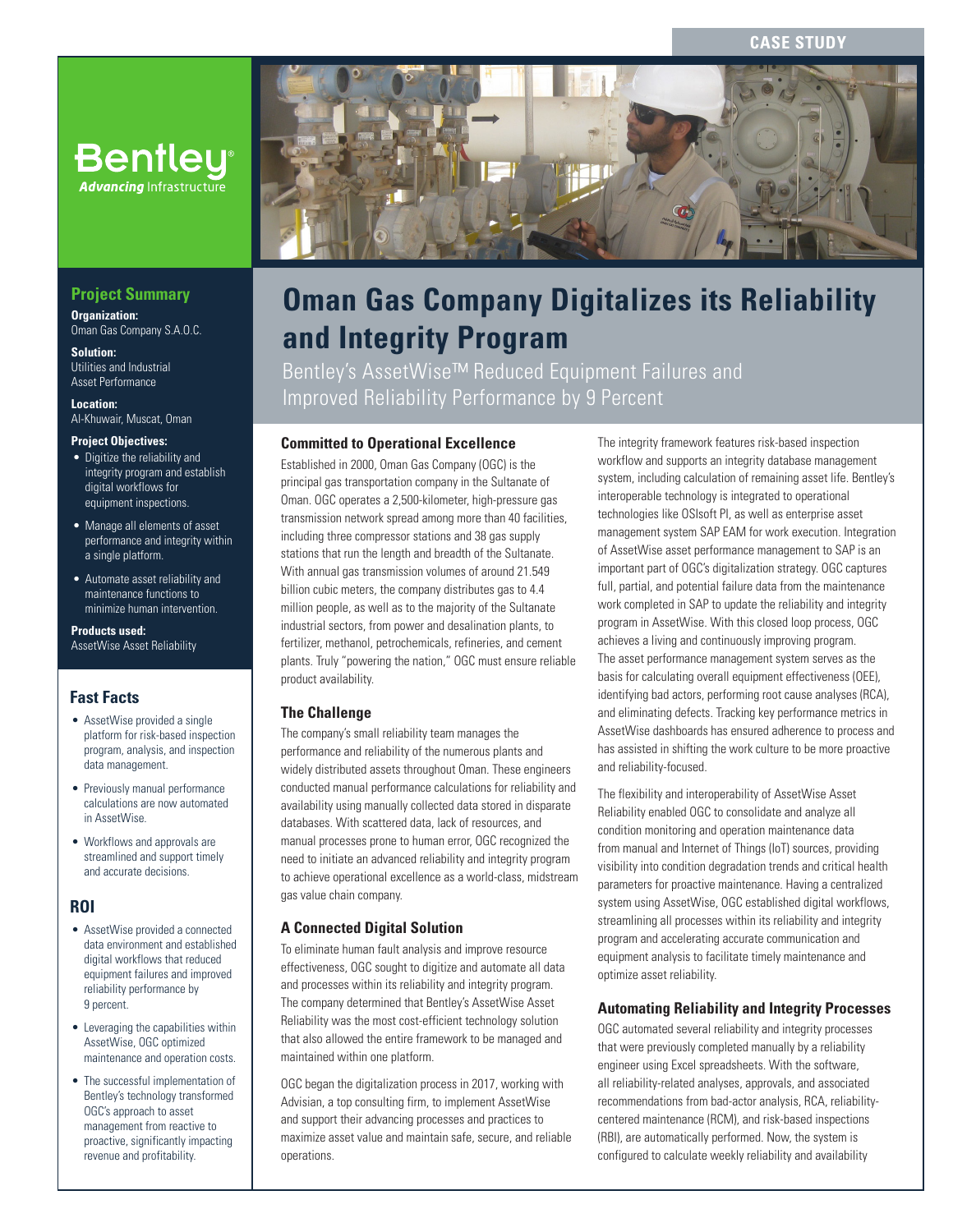**CASE STUD** 



## **Project Summary**

**Organization:**  Oman Gas Company S.A.O.C.

**Solution:**  Utilities and Industrial Asset Performance

**Location:**  Al-Khuwair, Muscat, Oman

#### **Project Objectives:**

- Digitize the reliability and integrity program and establish digital workflows for equipment inspections.
- Manage all elements of asset performance and integrity within a single platform.
- Automate asset reliability and maintenance functions to minimize human intervention.

**Products used:**  AssetWise Asset Reliability

## **Fast Facts**

- AssetWise provided a single platform for risk-based inspection program, analysis, and inspection data management.
- Previously manual performance calculations are now automated in AssetWise.
- Workflows and approvals are streamlined and support timely and accurate decisions.

## **ROI**

- AssetWise provided a connected data environment and established digital workflows that reduced equipment failures and improved reliability performance by 9 percent.
- Leveraging the capabilities within AssetWise, OGC optimized maintenance and operation costs.
- The successful implementation of Bentley's technology transformed OGC's approach to asset management from reactive to proactive, significantly impacting revenue and profitability.



# **Oman Gas Company Digitalizes its Reliability and Integrity Program**

Bentley's AssetWise™ Reduced Equipment Failures and Improved Reliability Performance by 9 Percent

### **Committed to Operational Excellence**

Established in 2000, Oman Gas Company (OGC) is the principal gas transportation company in the Sultanate of Oman. OGC operates a 2,500-kilometer, high-pressure gas transmission network spread among more than 40 facilities, including three compressor stations and 38 gas supply stations that run the length and breadth of the Sultanate. With annual gas transmission volumes of around 21.549 billion cubic meters, the company distributes gas to 4.4 million people, as well as to the majority of the Sultanate industrial sectors, from power and desalination plants, to fertilizer, methanol, petrochemicals, refineries, and cement plants. Truly "powering the nation," OGC must ensure reliable product availability.

#### **The Challenge**

The company's small reliability team manages the performance and reliability of the numerous plants and widely distributed assets throughout Oman. These engineers conducted manual performance calculations for reliability and availability using manually collected data stored in disparate databases. With scattered data, lack of resources, and manual processes prone to human error, OGC recognized the need to initiate an advanced reliability and integrity program to achieve operational excellence as a world-class, midstream gas value chain company.

#### **A Connected Digital Solution**

To eliminate human fault analysis and improve resource effectiveness, OGC sought to digitize and automate all data and processes within its reliability and integrity program. The company determined that Bentley's AssetWise Asset Reliability was the most cost-efficient technology solution that also allowed the entire framework to be managed and maintained within one platform.

OGC began the digitalization process in 2017, working with Advisian, a top consulting firm, to implement AssetWise and support their advancing processes and practices to maximize asset value and maintain safe, secure, and reliable operations.

The integrity framework features risk-based inspection workflow and supports an integrity database management system, including calculation of remaining asset life. Bentley's interoperable technology is integrated to operational technologies like OSIsoft PI, as well as enterprise asset management system SAP EAM for work execution. Integration of AssetWise asset performance management to SAP is an important part of OGC's digitalization strategy. OGC captures full, partial, and potential failure data from the maintenance work completed in SAP to update the reliability and integrity program in AssetWise. With this closed loop process, OGC achieves a living and continuously improving program. The asset performance management system serves as the basis for calculating overall equipment effectiveness (OEE), identifying bad actors, performing root cause analyses (RCA), and eliminating defects. Tracking key performance metrics in AssetWise dashboards has ensured adherence to process and has assisted in shifting the work culture to be more proactive and reliability-focused.

The flexibility and interoperability of AssetWise Asset Reliability enabled OGC to consolidate and analyze all condition monitoring and operation maintenance data from manual and Internet of Things (IoT) sources, providing visibility into condition degradation trends and critical health parameters for proactive maintenance. Having a centralized system using AssetWise, OGC established digital workflows, streamlining all processes within its reliability and integrity program and accelerating accurate communication and equipment analysis to facilitate timely maintenance and optimize asset reliability.

#### **Automating Reliability and Integrity Processes**

OGC automated several reliability and integrity processes that were previously completed manually by a reliability engineer using Excel spreadsheets. With the software, all reliability-related analyses, approvals, and associated recommendations from bad-actor analysis, RCA, reliabilitycentered maintenance (RCM), and risk-based inspections (RBI), are automatically performed. Now, the system is configured to calculate weekly reliability and availability